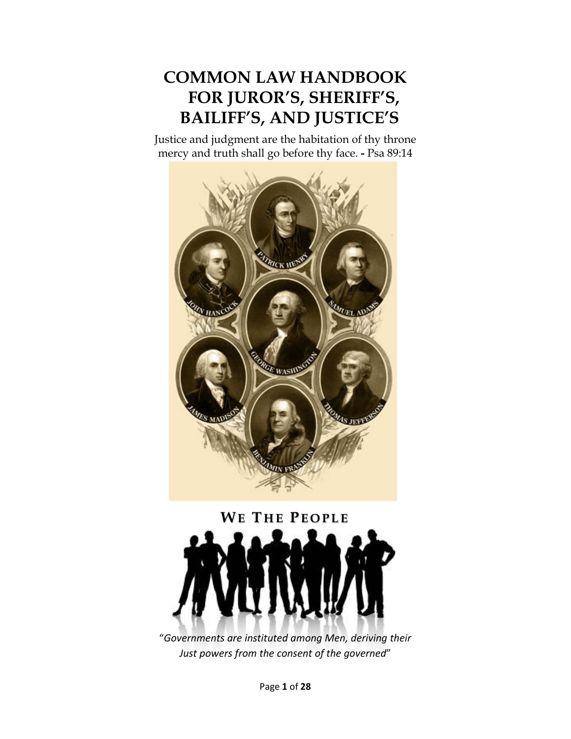# **COMMON LAW HANDBOOK FOR JUROR'S, SHERIFF'S, BAILIFF'S, AND JUSTICE'S**

 Justice and judgment are the habitation of thy throne mercy and truth shall go before thy face. **-** Psa 89:14





"*Governments are instituted among Men, deriving their Just powers from the consent of the governed*"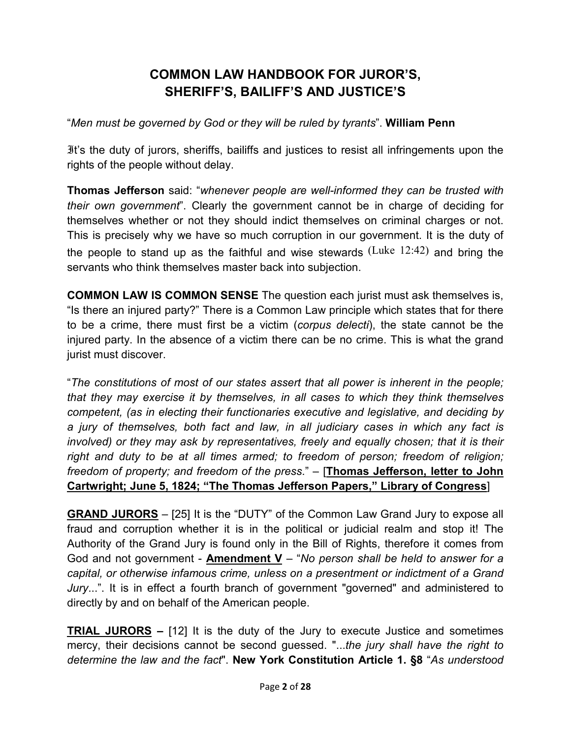## **COMMON LAW HANDBOOK FOR JUROR'S, SHERIFF'S, BAILIFF'S AND JUSTICE'S**

"*Men must be governed by God or they will be ruled by tyrants*". **William Penn** 

It's the duty of jurors, sheriffs, bailiffs and justices to resist all infringements upon the rights of the people without delay.

**Thomas Jefferson** said: "*whenever people are well-informed they can be trusted with their own government*". Clearly the government cannot be in charge of deciding for themselves whether or not they should indict themselves on criminal charges or not. This is precisely why we have so much corruption in our government. It is the duty of the people to stand up as the faithful and wise stewards (Luke 12:42) and bring the servants who think themselves master back into subjection.

**COMMON LAW IS COMMON SENSE** The question each jurist must ask themselves is, "Is there an injured party?" There is a Common Law principle which states that for there to be a crime, there must first be a victim (*corpus delecti*), the state cannot be the injured party. In the absence of a victim there can be no crime. This is what the grand jurist must discover.

"*The constitutions of most of our states assert that all power is inherent in the people; that they may exercise it by themselves, in all cases to which they think themselves competent, (as in electing their functionaries executive and legislative, and deciding by a jury of themselves, both fact and law, in all judiciary cases in which any fact is involved)* or they may ask by representatives, freely and equally chosen; that it is their *right and duty to be at all times armed; to freedom of person; freedom of religion; freedom of property; and freedom of the press*." – [**Thomas Jefferson, letter to John Cartwright; June 5, 1824; "The Thomas Jefferson Papers," Library of Congress**]

**GRAND JURORS** – [25] It is the "DUTY" of the Common Law Grand Jury to expose all fraud and corruption whether it is in the political or judicial realm and stop it! The Authority of the Grand Jury is found only in the Bill of Rights, therefore it comes from God and not government - **Amendment V** – "*No person shall be held to answer for a capital, or otherwise infamous crime, unless on a presentment or indictment of a Grand Jury*...". It is in effect a fourth branch of government "governed" and administered to directly by and on behalf of the American people.

**TRIAL JURORS –** [12] It is the duty of the Jury to execute Justice and sometimes mercy, their decisions cannot be second guessed. "...*the jury shall have the right to determine the law and the fact*". **New York Constitution Article 1. §8** "*As understood*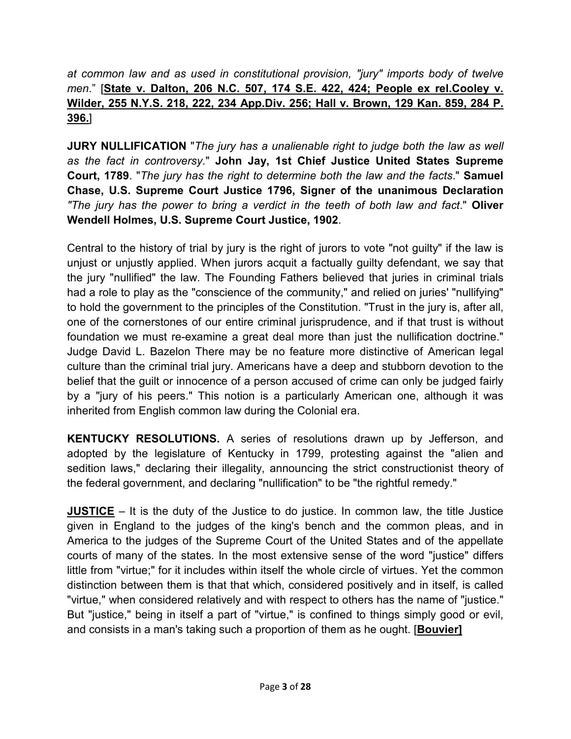#### *at common law and as used in constitutional provision, "jury" imports body of twelve men*." [**State v. Dalton, 206 N.C. 507, 174 S.E. 422, 424; People ex rel.Cooley v. Wilder, 255 N.Y.S. 218, 222, 234 App.Div. 256; Hall v. Brown, 129 Kan. 859, 284 P. 396.**]

**JURY NULLIFICATION** "*The jury has a unalienable right to judge both the law as well as the fact in controversy*." **John Jay, 1st Chief Justice United States Supreme Court, 1789**. "*The jury has the right to determine both the law and the facts*." **Samuel Chase, U.S. Supreme Court Justice 1796, Signer of the unanimous Declaration** *"The jury has the power to bring a verdict in the teeth of both law and fact*." **Oliver Wendell Holmes, U.S. Supreme Court Justice, 1902**.

Central to the history of trial by jury is the right of jurors to vote "not guilty" if the law is unjust or unjustly applied. When jurors acquit a factually guilty defendant, we say that the jury "nullified" the law. The Founding Fathers believed that juries in criminal trials had a role to play as the "conscience of the community," and relied on juries' "nullifying" to hold the government to the principles of the Constitution. "Trust in the jury is, after all, one of the cornerstones of our entire criminal jurisprudence, and if that trust is without foundation we must re-examine a great deal more than just the nullification doctrine." Judge David L. Bazelon There may be no feature more distinctive of American legal culture than the criminal trial jury. Americans have a deep and stubborn devotion to the belief that the guilt or innocence of a person accused of crime can only be judged fairly by a "jury of his peers." This notion is a particularly American one, although it was inherited from English common law during the Colonial era.

**KENTUCKY RESOLUTIONS.** A series of resolutions drawn up by Jefferson, and adopted by the legislature of Kentucky in 1799, protesting against the "alien and sedition laws," declaring their illegality, announcing the strict constructionist theory of the federal government, and declaring "nullification" to be "the rightful remedy."

**JUSTICE** – It is the duty of the Justice to do justice. In common law, the title Justice given in England to the judges of the king's bench and the common pleas, and in America to the judges of the Supreme Court of the United States and of the appellate courts of many of the states. In the most extensive sense of the word "justice" differs little from "virtue;" for it includes within itself the whole circle of virtues. Yet the common distinction between them is that that which, considered positively and in itself, is called "virtue," when considered relatively and with respect to others has the name of "justice." But "justice," being in itself a part of "virtue," is confined to things simply good or evil, and consists in a man's taking such a proportion of them as he ought. [**Bouvier]**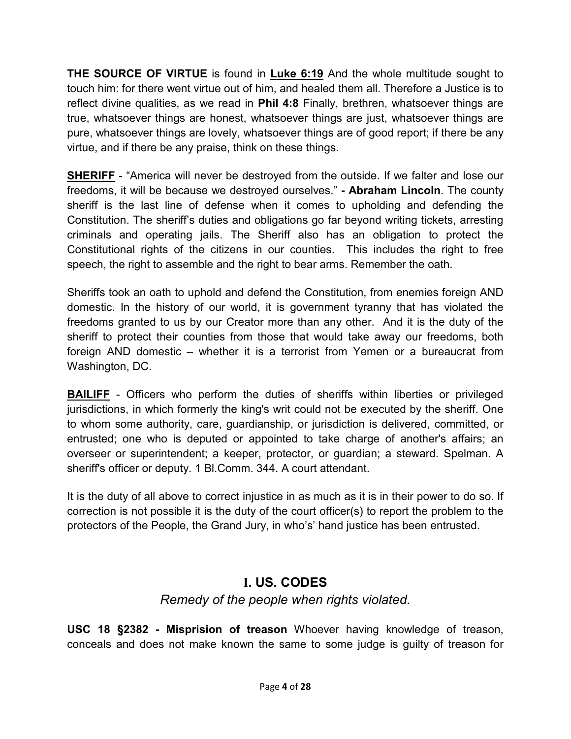**THE SOURCE OF VIRTUE** is found in **Luke 6:19** And the whole multitude sought to touch him: for there went virtue out of him, and healed them all. Therefore a Justice is to reflect divine qualities, as we read in **Phil 4:8** Finally, brethren, whatsoever things are true, whatsoever things are honest, whatsoever things are just, whatsoever things are pure, whatsoever things are lovely, whatsoever things are of good report; if there be any virtue, and if there be any praise, think on these things.

**SHERIFF** - "America will never be destroyed from the outside. If we falter and lose our freedoms, it will be because we destroyed ourselves." **- Abraham Lincoln**. The county sheriff is the last line of defense when it comes to upholding and defending the Constitution. The sheriff's duties and obligations go far beyond writing tickets, arresting criminals and operating jails. The Sheriff also has an obligation to protect the Constitutional rights of the citizens in our counties. This includes the right to free speech, the right to assemble and the right to bear arms. Remember the oath.

Sheriffs took an oath to uphold and defend the Constitution, from enemies foreign AND domestic. In the history of our world, it is government tyranny that has violated the freedoms granted to us by our Creator more than any other. And it is the duty of the sheriff to protect their counties from those that would take away our freedoms, both foreign AND domestic – whether it is a terrorist from Yemen or a bureaucrat from Washington, DC.

**BAILIFF** - Officers who perform the duties of sheriffs within liberties or privileged jurisdictions, in which formerly the king's writ could not be executed by the sheriff. One to whom some authority, care, guardianship, or jurisdiction is delivered, committed, or entrusted; one who is deputed or appointed to take charge of another's affairs; an overseer or superintendent; a keeper, protector, or guardian; a steward. Spelman. A sheriff's officer or deputy. 1 Bl.Comm. 344. A court attendant.

It is the duty of all above to correct injustice in as much as it is in their power to do so. If correction is not possible it is the duty of the court officer(s) to report the problem to the protectors of the People, the Grand Jury, in who's' hand justice has been entrusted.

#### **I. US. CODES**

*Remedy of the people when rights violated.* 

**USC 18 §2382 - Misprision of treason** Whoever having knowledge of treason, conceals and does not make known the same to some judge is guilty of treason for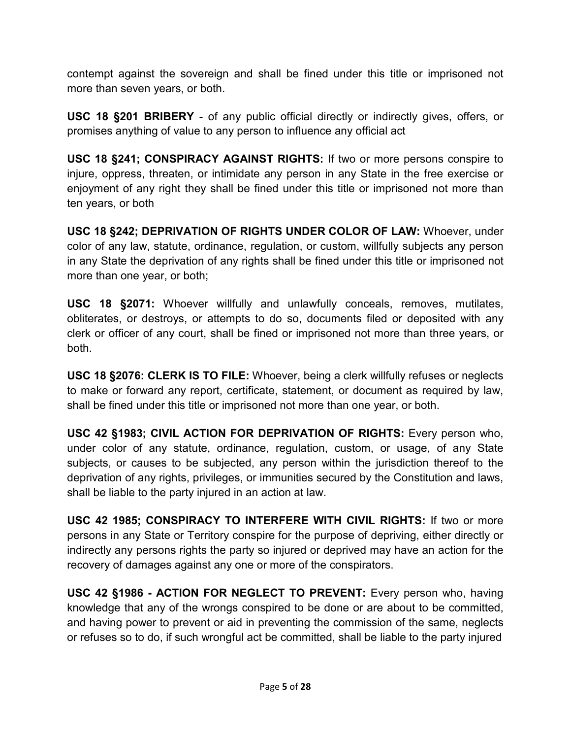contempt against the sovereign and shall be fined under this title or imprisoned not more than seven years, or both.

**USC 18 §201 BRIBERY** - of any public official directly or indirectly gives, offers, or promises anything of value to any person to influence any official act

**USC 18 §241; CONSPIRACY AGAINST RIGHTS:** If two or more persons conspire to injure, oppress, threaten, or intimidate any person in any State in the free exercise or enjoyment of any right they shall be fined under this title or imprisoned not more than ten years, or both

**USC 18 §242; DEPRIVATION OF RIGHTS UNDER COLOR OF LAW:** Whoever, under color of any law, statute, ordinance, regulation, or custom, willfully subjects any person in any State the deprivation of any rights shall be fined under this title or imprisoned not more than one year, or both;

**USC 18 §2071:** Whoever willfully and unlawfully conceals, removes, mutilates, obliterates, or destroys, or attempts to do so, documents filed or deposited with any clerk or officer of any court, shall be fined or imprisoned not more than three years, or both.

**USC 18 §2076: CLERK IS TO FILE:** Whoever, being a clerk willfully refuses or neglects to make or forward any report, certificate, statement, or document as required by law, shall be fined under this title or imprisoned not more than one year, or both.

**USC 42 §1983; CIVIL ACTION FOR DEPRIVATION OF RIGHTS:** Every person who, under color of any statute, ordinance, regulation, custom, or usage, of any State subjects, or causes to be subjected, any person within the jurisdiction thereof to the deprivation of any rights, privileges, or immunities secured by the Constitution and laws, shall be liable to the party injured in an action at law.

**USC 42 1985; CONSPIRACY TO INTERFERE WITH CIVIL RIGHTS:** If two or more persons in any State or Territory conspire for the purpose of depriving, either directly or indirectly any persons rights the party so injured or deprived may have an action for the recovery of damages against any one or more of the conspirators.

**USC 42 §1986 - ACTION FOR NEGLECT TO PREVENT:** Every person who, having knowledge that any of the wrongs conspired to be done or are about to be committed, and having power to prevent or aid in preventing the commission of the same, neglects or refuses so to do, if such wrongful act be committed, shall be liable to the party injured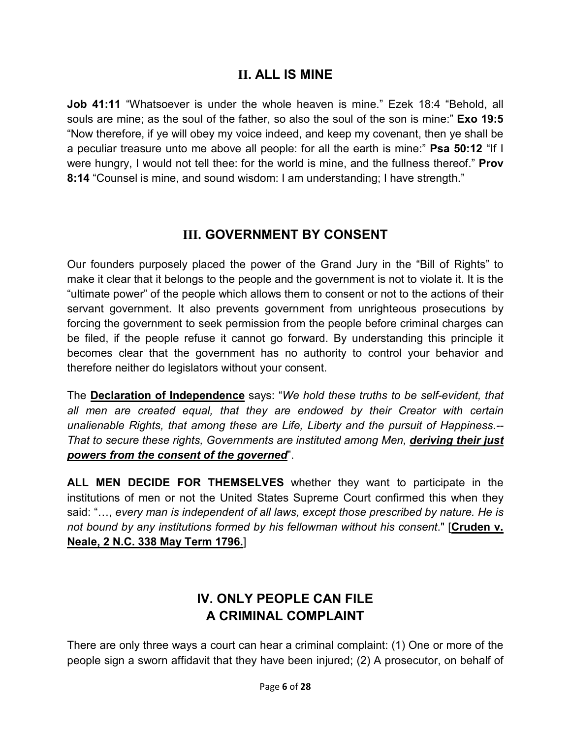#### **II. ALL IS MINE**

**Job 41:11** "Whatsoever is under the whole heaven is mine." Ezek 18:4 "Behold, all souls are mine; as the soul of the father, so also the soul of the son is mine:" **Exo 19:5** "Now therefore, if ye will obey my voice indeed, and keep my covenant, then ye shall be a peculiar treasure unto me above all people: for all the earth is mine:" **Psa 50:12** "If I were hungry, I would not tell thee: for the world is mine, and the fullness thereof." **Prov 8:14** "Counsel is mine, and sound wisdom: I am understanding; I have strength."

#### **III. GOVERNMENT BY CONSENT**

Our founders purposely placed the power of the Grand Jury in the "Bill of Rights" to make it clear that it belongs to the people and the government is not to violate it. It is the "ultimate power" of the people which allows them to consent or not to the actions of their servant government. It also prevents government from unrighteous prosecutions by forcing the government to seek permission from the people before criminal charges can be filed, if the people refuse it cannot go forward. By understanding this principle it becomes clear that the government has no authority to control your behavior and therefore neither do legislators without your consent.

The **Declaration of Independence** says: "*We hold these truths to be self-evident, that all men are created equal, that they are endowed by their Creator with certain unalienable Rights, that among these are Life, Liberty and the pursuit of Happiness.-- That to secure these rights, Governments are instituted among Men, deriving their just powers from the consent of the governed*".

**ALL MEN DECIDE FOR THEMSELVES** whether they want to participate in the institutions of men or not the United States Supreme Court confirmed this when they said: "..., every man is independent of all laws, except those prescribed by nature. He is *not bound by any institutions formed by his fellowman without his consent*." [**Cruden v. Neale, 2 N.C. 338 May Term 1796.**]

## **IV. ONLY PEOPLE CAN FILE A CRIMINAL COMPLAINT**

There are only three ways a court can hear a criminal complaint: (1) One or more of the people sign a sworn affidavit that they have been injured; (2) A prosecutor, on behalf of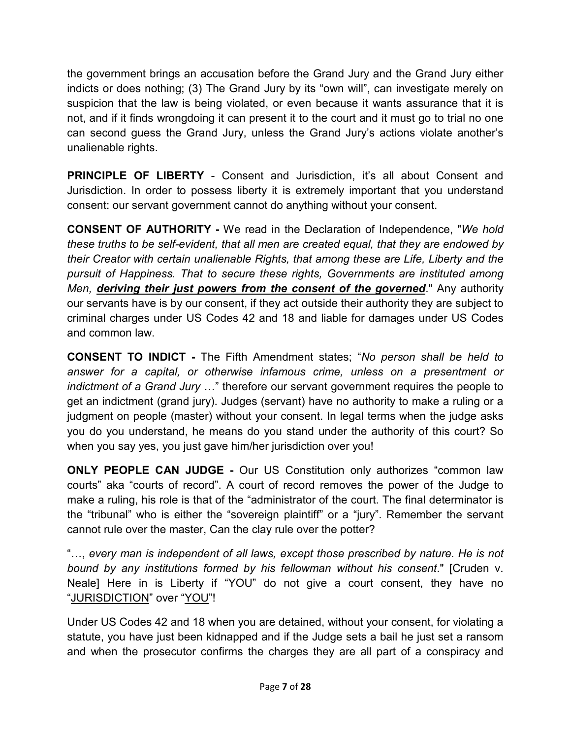the government brings an accusation before the Grand Jury and the Grand Jury either indicts or does nothing; (3) The Grand Jury by its "own will", can investigate merely on suspicion that the law is being violated, or even because it wants assurance that it is not, and if it finds wrongdoing it can present it to the court and it must go to trial no one can second guess the Grand Jury, unless the Grand Jury's actions violate another's unalienable rights.

**PRINCIPLE OF LIBERTY** - Consent and Jurisdiction, it's all about Consent and Jurisdiction. In order to possess liberty it is extremely important that you understand consent: our servant government cannot do anything without your consent.

**CONSENT OF AUTHORITY -** We read in the Declaration of Independence, "*We hold these truths to be self-evident, that all men are created equal, that they are endowed by their Creator with certain unalienable Rights, that among these are Life, Liberty and the pursuit of Happiness. That to secure these rights, Governments are instituted among Men, deriving their just powers from the consent of the governed*." Any authority our servants have is by our consent, if they act outside their authority they are subject to criminal charges under US Codes 42 and 18 and liable for damages under US Codes and common law.

**CONSENT TO INDICT -** The Fifth Amendment states; "*No person shall be held to answer for a capital, or otherwise infamous crime, unless on a presentment or indictment of a Grand Jury* ..." therefore our servant government requires the people to get an indictment (grand jury). Judges (servant) have no authority to make a ruling or a judgment on people (master) without your consent. In legal terms when the judge asks you do you understand, he means do you stand under the authority of this court? So when you say yes, you just gave him/her jurisdiction over you!

**ONLY PEOPLE CAN JUDGE -** Our US Constitution only authorizes "common law courts" aka "courts of record". A court of record removes the power of the Judge to make a ruling, his role is that of the "administrator of the court. The final determinator is the "tribunal" who is either the "sovereign plaintiff" or a "jury". Remember the servant cannot rule over the master, Can the clay rule over the potter?

"..., every man is independent of all laws, except those prescribed by nature. He is not *bound by any institutions formed by his fellowman without his consent*." [Cruden v. Neale] Here in is Liberty if "YOU" do not give a court consent, they have no "JURISDICTION" over "YOU"!

Under US Codes 42 and 18 when you are detained, without your consent, for violating a statute, you have just been kidnapped and if the Judge sets a bail he just set a ransom and when the prosecutor confirms the charges they are all part of a conspiracy and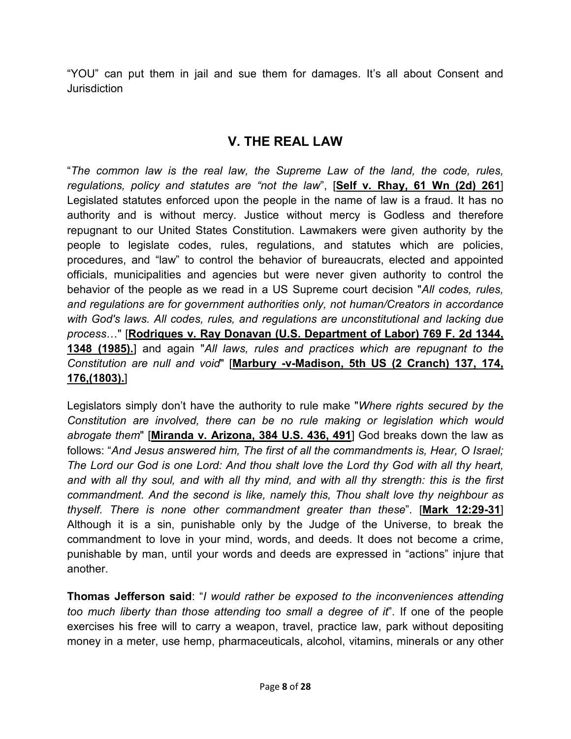"YOU" can put them in jail and sue them for damages. It's all about Consent and **Jurisdiction** 

#### **V. THE REAL LAW**

"*The common law is the real law, the Supreme Law of the land, the code, rules, regulations, policy and statutes are "not the law*", [**Self v. Rhay, 61 Wn (2d) 261**] Legislated statutes enforced upon the people in the name of law is a fraud. It has no authority and is without mercy. Justice without mercy is Godless and therefore repugnant to our United States Constitution. Lawmakers were given authority by the people to legislate codes, rules, regulations, and statutes which are policies, procedures, and "law" to control the behavior of bureaucrats, elected and appointed officials, municipalities and agencies but were never given authority to control the behavior of the people as we read in a US Supreme court decision "*All codes, rules, and regulations are for government authorities only, not human/Creators in accordance with God's laws. All codes, rules, and regulations are unconstitutional and lacking due process*I" [**Rodriques v. Ray Donavan (U.S. Department of Labor) 769 F. 2d 1344, 1348 (1985).**] and again "*All laws, rules and practices which are repugnant to the Constitution are null and void*" [**Marbury -v-Madison, 5th US (2 Cranch) 137, 174, 176,(1803).**]

Legislators simply don't have the authority to rule make "*Where rights secured by the Constitution are involved, there can be no rule making or legislation which would abrogate them*" [**Miranda v. Arizona, 384 U.S. 436, 491**] God breaks down the law as follows: "*And Jesus answered him, The first of all the commandments is, Hear, O Israel; The Lord our God is one Lord: And thou shalt love the Lord thy God with all thy heart,*  and with all thy soul, and with all thy mind, and with all thy strength: this is the first *commandment. And the second is like, namely this, Thou shalt love thy neighbour as thyself. There is none other commandment greater than these*". [**Mark 12:29-31**] Although it is a sin, punishable only by the Judge of the Universe, to break the commandment to love in your mind, words, and deeds. It does not become a crime, punishable by man, until your words and deeds are expressed in "actions" injure that another.

**Thomas Jefferson said**: "*I would rather be exposed to the inconveniences attending too much liberty than those attending too small a degree of it*". If one of the people exercises his free will to carry a weapon, travel, practice law, park without depositing money in a meter, use hemp, pharmaceuticals, alcohol, vitamins, minerals or any other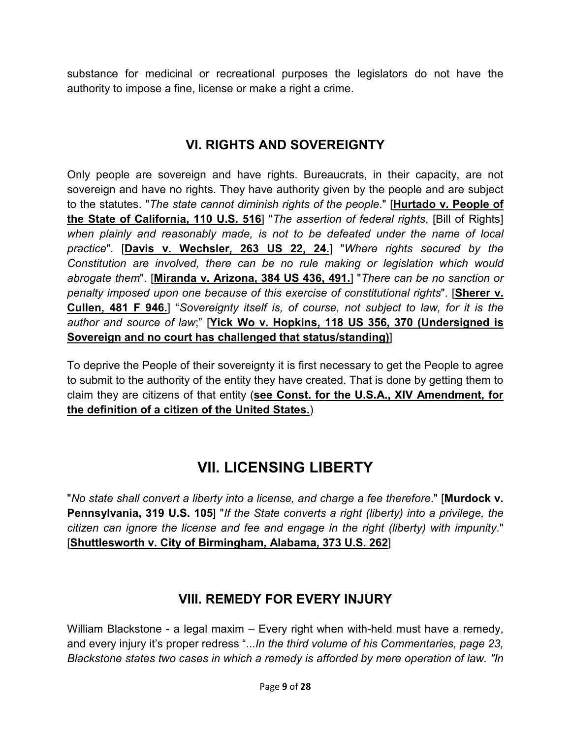substance for medicinal or recreational purposes the legislators do not have the authority to impose a fine, license or make a right a crime.

## **VI. RIGHTS AND SOVEREIGNTY**

Only people are sovereign and have rights. Bureaucrats, in their capacity, are not sovereign and have no rights. They have authority given by the people and are subject to the statutes. "*The state cannot diminish rights of the people*." [**Hurtado v. People of the State of California, 110 U.S. 516**] "*The assertion of federal rights*, [Bill of Rights] *when plainly and reasonably made, is not to be defeated under the name of local practice*". [**Davis v. Wechsler, 263 US 22, 24.**] "*Where rights secured by the Constitution are involved, there can be no rule making or legislation which would abrogate them*". [**Miranda v. Arizona, 384 US 436, 491.**] "*There can be no sanction or penalty imposed upon one because of this exercise of constitutional rights*". [**Sherer v. Cullen, 481 F 946.**] "*Sovereignty itself is, of course, not subject to law, for it is the author and source of law*;" [**Yick Wo v. Hopkins, 118 US 356, 370 (Undersigned is Sovereign and no court has challenged that status/standing)**]

To deprive the People of their sovereignty it is first necessary to get the People to agree to submit to the authority of the entity they have created. That is done by getting them to claim they are citizens of that entity (**see Const. for the U.S.A., XIV Amendment, for the definition of a citizen of the United States.**)

## **VII. LICENSING LIBERTY**

"*No state shall convert a liberty into a license, and charge a fee therefore*." [**Murdock v. Pennsylvania, 319 U.S. 105**] "*If the State converts a right (liberty) into a privilege, the citizen can ignore the license and fee and engage in the right (liberty) with impunity*." [**Shuttlesworth v. City of Birmingham, Alabama, 373 U.S. 262**]

#### **VIII. REMEDY FOR EVERY INJURY**

William Blackstone - a legal maxim – Every right when with-held must have a remedy, and every injury it's proper redress "...*In the third volume of his Commentaries, page 23, Blackstone states two cases in which a remedy is afforded by mere operation of law. "In*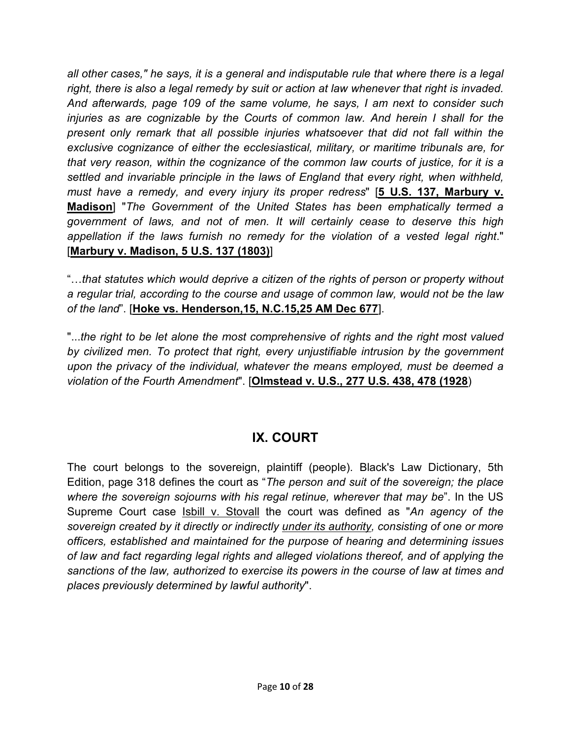*all other cases," he says, it is a general and indisputable rule that where there is a legal right, there is also a legal remedy by suit or action at law whenever that right is invaded. And afterwards, page 109 of the same volume, he says, I am next to consider such injuries as are cognizable by the Courts of common law. And herein I shall for the present only remark that all possible injuries whatsoever that did not fall within the exclusive cognizance of either the ecclesiastical, military, or maritime tribunals are, for that very reason, within the cognizance of the common law courts of justice, for it is a settled and invariable principle in the laws of England that every right, when withheld, must have a remedy, and every injury its proper redress*" [**5 U.S. 137, Marbury v. Madison**] "*The Government of the United States has been emphatically termed a government of laws, and not of men. It will certainly cease to deserve this high appellation if the laws furnish no remedy for the violation of a vested legal right*." [**Marbury v. Madison, 5 U.S. 137 (1803)**]

"...that statutes which would deprive a citizen of the rights of person or property without *a regular trial, according to the course and usage of common law, would not be the law of the land*". [**Hoke vs. Henderson,15, N.C.15,25 AM Dec 677**].

"...the right to be let alone the most comprehensive of rights and the right most valued *by civilized men. To protect that right, every unjustifiable intrusion by the government upon the privacy of the individual, whatever the means employed, must be deemed a violation of the Fourth Amendment*". [**Olmstead v. U.S., 277 U.S. 438, 478 (1928**)

## **IX. COURT**

The court belongs to the sovereign, plaintiff (people). Black's Law Dictionary, 5th Edition, page 318 defines the court as "*The person and suit of the sovereign; the place where the sovereign sojourns with his regal retinue, wherever that may be*". In the US Supreme Court case Isbill v. Stovall the court was defined as "*An agency of the sovereign created by it directly or indirectly under its authority, consisting of one or more officers, established and maintained for the purpose of hearing and determining issues of law and fact regarding legal rights and alleged violations thereof, and of applying the sanctions of the law, authorized to exercise its powers in the course of law at times and places previously determined by lawful authority*".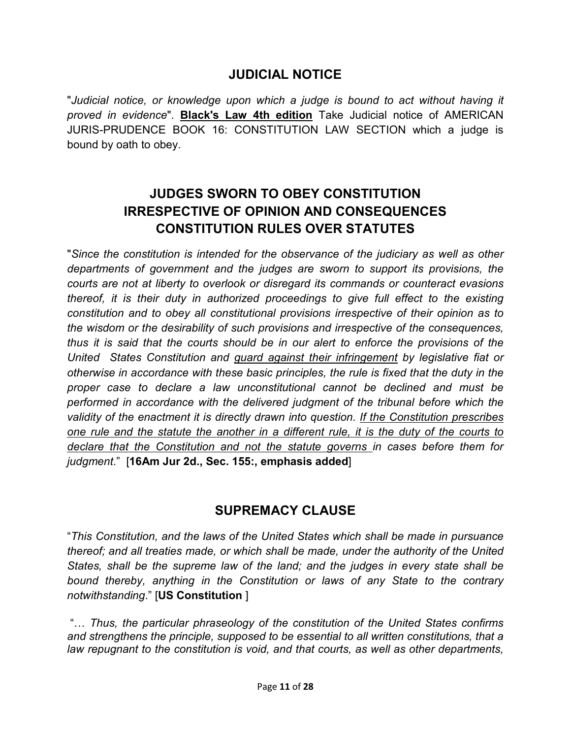#### **JUDICIAL NOTICE**

"Judicial notice, or knowledge upon which a judge is bound to act without having it *proved in evidence*". **Black's Law 4th edition** Take Judicial notice of AMERICAN JURIS-PRUDENCE BOOK 16: CONSTITUTION LAW SECTION which a judge is bound by oath to obey.

## **JUDGES SWORN TO OBEY CONSTITUTION IRRESPECTIVE OF OPINION AND CONSEQUENCES CONSTITUTION RULES OVER STATUTES**

"*Since the constitution is intended for the observance of the judiciary as well as other departments of government and the judges are sworn to support its provisions, the courts are not at liberty to overlook or disregard its commands or counteract evasions thereof, it is their duty in authorized proceedings to give full effect to the existing constitution and to obey all constitutional provisions irrespective of their opinion as to the wisdom or the desirability of such provisions and irrespective of the consequences, thus it is said that the courts should be in our alert to enforce the provisions of the United States Constitution and guard against their infringement by legislative fiat or otherwise in accordance with these basic principles, the rule is fixed that the duty in the proper case to declare a law unconstitutional cannot be declined and must be performed in accordance with the delivered judgment of the tribunal before which the validity of the enactment it is directly drawn into question. If the Constitution prescribes one rule and the statute the another in a different rule, it is the duty of the courts to declare that the Constitution and not the statute governs in cases before them for judgment*." [**16Am Jur 2d., Sec. 155:, emphasis added**]

#### **SUPREMACY CLAUSE**

"*This Constitution, and the laws of the United States which shall be made in pursuance thereof; and all treaties made, or which shall be made, under the authority of the United States, shall be the supreme law of the land; and the judges in every state shall be bound thereby, anything in the Constitution or laws of any State to the contrary notwithstanding*." [**US Constitution** ]

"... Thus, the particular phraseology of the constitution of the United States confirms *and strengthens the principle, supposed to be essential to all written constitutions, that a law repugnant to the constitution is void, and that courts, as well as other departments,*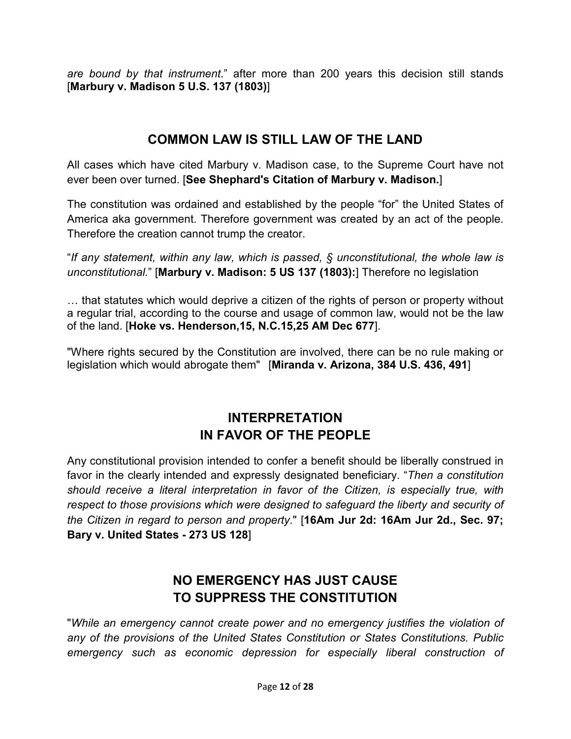*are bound by that instrument*." after more than 200 years this decision still stands [**Marbury v. Madison 5 U.S. 137 (1803)**]

#### **COMMON LAW IS STILL LAW OF THE LAND**

All cases which have cited Marbury v. Madison case, to the Supreme Court have not ever been over turned. [**See Shephard's Citation of Marbury v. Madison.**]

The constitution was ordained and established by the people "for" the United States of America aka government. Therefore government was created by an act of the people. Therefore the creation cannot trump the creator.

"*If any statement, within any law, which is passed, § unconstitutional, the whole law is unconstitutional.*" [**Marbury v. Madison: 5 US 137 (1803):**] Therefore no legislation

... that statutes which would deprive a citizen of the rights of person or property without a regular trial, according to the course and usage of common law, would not be the law of the land. [**Hoke vs. Henderson,15, N.C.15,25 AM Dec 677**].

"Where rights secured by the Constitution are involved, there can be no rule making or legislation which would abrogate them" [**Miranda v. Arizona, 384 U.S. 436, 491**]

#### **INTERPRETATION IN FAVOR OF THE PEOPLE**

Any constitutional provision intended to confer a benefit should be liberally construed in favor in the clearly intended and expressly designated beneficiary. "*Then a constitution should receive a literal interpretation in favor of the Citizen, is especially true, with respect to those provisions which were designed to safeguard the liberty and security of the Citizen in regard to person and property*." [**16Am Jur 2d: 16Am Jur 2d., Sec. 97; Bary v. United States - 273 US 128**]

## **NO EMERGENCY HAS JUST CAUSE TO SUPPRESS THE CONSTITUTION**

"*While an emergency cannot create power and no emergency justifies the violation of any of the provisions of the United States Constitution or States Constitutions. Public emergency such as economic depression for especially liberal construction of*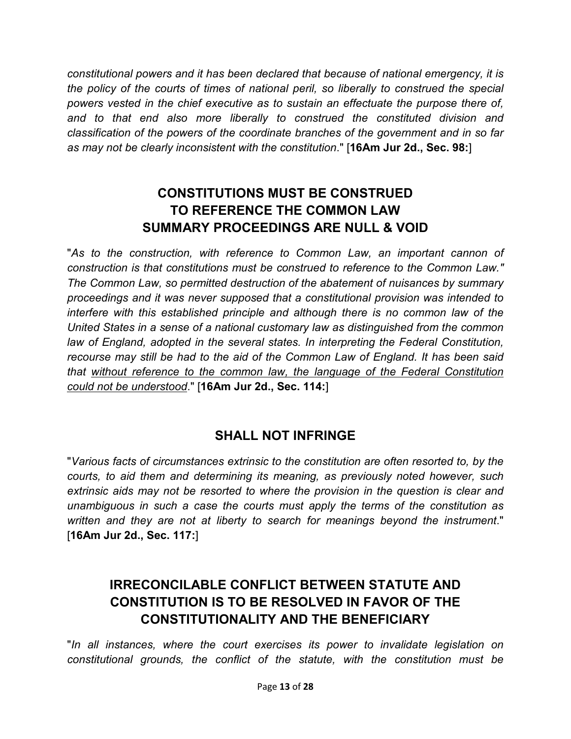*constitutional powers and it has been declared that because of national emergency, it is the policy of the courts of times of national peril, so liberally to construed the special powers vested in the chief executive as to sustain an effectuate the purpose there of, and to that end also more liberally to construed the constituted division and classification of the powers of the coordinate branches of the government and in so far as may not be clearly inconsistent with the constitution*." [**16Am Jur 2d., Sec. 98:**]

## **CONSTITUTIONS MUST BE CONSTRUED TO REFERENCE THE COMMON LAW SUMMARY PROCEEDINGS ARE NULL & VOID**

"*As to the construction, with reference to Common Law, an important cannon of construction is that constitutions must be construed to reference to the Common Law." The Common Law, so permitted destruction of the abatement of nuisances by summary proceedings and it was never supposed that a constitutional provision was intended to interfere with this established principle and although there is no common law of the United States in a sense of a national customary law as distinguished from the common law of England, adopted in the several states. In interpreting the Federal Constitution, recourse may still be had to the aid of the Common Law of England. It has been said that without reference to the common law, the language of the Federal Constitution could not be understood*." [**16Am Jur 2d., Sec. 114:**]

## **SHALL NOT INFRINGE**

"*Various facts of circumstances extrinsic to the constitution are often resorted to, by the courts, to aid them and determining its meaning, as previously noted however, such extrinsic aids may not be resorted to where the provision in the question is clear and unambiguous in such a case the courts must apply the terms of the constitution as written and they are not at liberty to search for meanings beyond the instrument*." [**16Am Jur 2d., Sec. 117:**]

## **IRRECONCILABLE CONFLICT BETWEEN STATUTE AND CONSTITUTION IS TO BE RESOLVED IN FAVOR OF THE CONSTITUTIONALITY AND THE BENEFICIARY**

"*In all instances, where the court exercises its power to invalidate legislation on constitutional grounds, the conflict of the statute, with the constitution must be*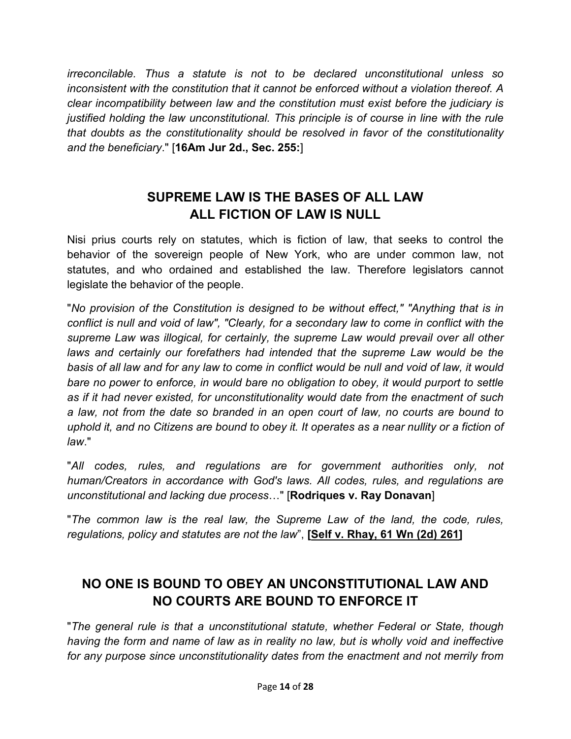*irreconcilable. Thus a statute is not to be declared unconstitutional unless so inconsistent with the constitution that it cannot be enforced without a violation thereof. A clear incompatibility between law and the constitution must exist before the judiciary is justified holding the law unconstitutional. This principle is of course in line with the rule that doubts as the constitutionality should be resolved in favor of the constitutionality and the beneficiary*." [**16Am Jur 2d., Sec. 255:**]

## **SUPREME LAW IS THE BASES OF ALL LAW ALL FICTION OF LAW IS NULL**

Nisi prius courts rely on statutes, which is fiction of law, that seeks to control the behavior of the sovereign people of New York, who are under common law, not statutes, and who ordained and established the law. Therefore legislators cannot legislate the behavior of the people.

"*No provision of the Constitution is designed to be without effect," "Anything that is in conflict is null and void of law", "Clearly, for a secondary law to come in conflict with the supreme Law was illogical, for certainly, the supreme Law would prevail over all other laws and certainly our forefathers had intended that the supreme Law would be the basis of all law and for any law to come in conflict would be null and void of law, it would bare no power to enforce, in would bare no obligation to obey, it would purport to settle as if it had never existed, for unconstitutionality would date from the enactment of such a law, not from the date so branded in an open court of law, no courts are bound to uphold it, and no Citizens are bound to obey it. It operates as a near nullity or a fiction of law*."

"*All codes, rules, and regulations are for government authorities only, not human/Creators in accordance with God's laws. All codes, rules, and regulations are unconstitutional and lacking due process...*" [Rodriques v. Ray Donavan]

"*The common law is the real law, the Supreme Law of the land, the code, rules, regulations, policy and statutes are not the law*", **[Self v. Rhay, 61 Wn (2d) 261]** 

## **NO ONE IS BOUND TO OBEY AN UNCONSTITUTIONAL LAW AND NO COURTS ARE BOUND TO ENFORCE IT**

"*The general rule is that a unconstitutional statute, whether Federal or State, though having the form and name of law as in reality no law, but is wholly void and ineffective for any purpose since unconstitutionality dates from the enactment and not merrily from*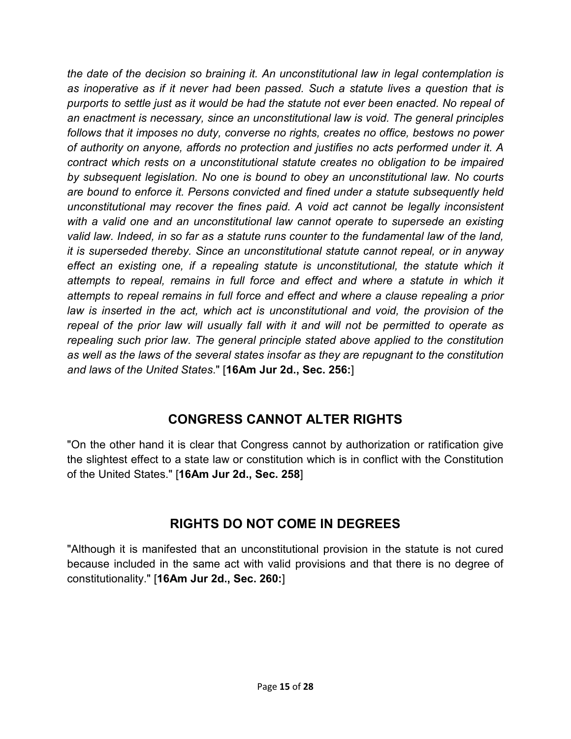*the date of the decision so braining it. An unconstitutional law in legal contemplation is as inoperative as if it never had been passed. Such a statute lives a question that is purports to settle just as it would be had the statute not ever been enacted. No repeal of an enactment is necessary, since an unconstitutional law is void. The general principles follows that it imposes no duty, converse no rights, creates no office, bestows no power of authority on anyone, affords no protection and justifies no acts performed under it. A contract which rests on a unconstitutional statute creates no obligation to be impaired by subsequent legislation. No one is bound to obey an unconstitutional law. No courts are bound to enforce it. Persons convicted and fined under a statute subsequently held unconstitutional may recover the fines paid. A void act cannot be legally inconsistent*  with a valid one and an unconstitutional law cannot operate to supersede an existing *valid law. Indeed, in so far as a statute runs counter to the fundamental law of the land, it is superseded thereby. Since an unconstitutional statute cannot repeal, or in anyway*  effect an existing one, if a repealing statute is unconstitutional, the statute which it attempts to repeal, remains in full force and effect and where a statute in which it *attempts to repeal remains in full force and effect and where a clause repealing a prior*  law is inserted in the act, which act is unconstitutional and void, the provision of the *repeal of the prior law will usually fall with it and will not be permitted to operate as repealing such prior law. The general principle stated above applied to the constitution as well as the laws of the several states insofar as they are repugnant to the constitution and laws of the United States*." [**16Am Jur 2d., Sec. 256:**]

## **CONGRESS CANNOT ALTER RIGHTS**

"On the other hand it is clear that Congress cannot by authorization or ratification give the slightest effect to a state law or constitution which is in conflict with the Constitution of the United States." [**16Am Jur 2d., Sec. 258**]

#### **RIGHTS DO NOT COME IN DEGREES**

"Although it is manifested that an unconstitutional provision in the statute is not cured because included in the same act with valid provisions and that there is no degree of constitutionality." [**16Am Jur 2d., Sec. 260:**]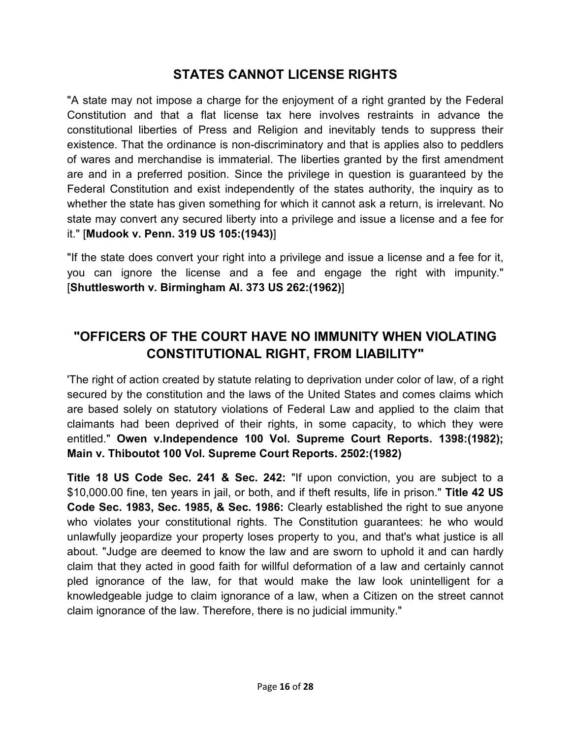#### **STATES CANNOT LICENSE RIGHTS**

"A state may not impose a charge for the enjoyment of a right granted by the Federal Constitution and that a flat license tax here involves restraints in advance the constitutional liberties of Press and Religion and inevitably tends to suppress their existence. That the ordinance is non-discriminatory and that is applies also to peddlers of wares and merchandise is immaterial. The liberties granted by the first amendment are and in a preferred position. Since the privilege in question is guaranteed by the Federal Constitution and exist independently of the states authority, the inquiry as to whether the state has given something for which it cannot ask a return, is irrelevant. No state may convert any secured liberty into a privilege and issue a license and a fee for it." [**Mudook v. Penn. 319 US 105:(1943)**]

"If the state does convert your right into a privilege and issue a license and a fee for it, you can ignore the license and a fee and engage the right with impunity." [**Shuttlesworth v. Birmingham AI. 373 US 262:(1962)**]

#### **"OFFICERS OF THE COURT HAVE NO IMMUNITY WHEN VIOLATING CONSTITUTIONAL RIGHT, FROM LIABILITY"**

'The right of action created by statute relating to deprivation under color of law, of a right secured by the constitution and the laws of the United States and comes claims which are based solely on statutory violations of Federal Law and applied to the claim that claimants had been deprived of their rights, in some capacity, to which they were entitled." **Owen v.lndependence 100 Vol. Supreme Court Reports. 1398:(1982); Main v. Thiboutot 100 Vol. Supreme Court Reports. 2502:(1982)** 

**Title 18 US Code Sec. 241 & Sec. 242:** "If upon conviction, you are subject to a \$10,000.00 fine, ten years in jail, or both, and if theft results, life in prison." **Title 42 US Code Sec. 1983, Sec. 1985, & Sec. 1986:** Clearly established the right to sue anyone who violates your constitutional rights. The Constitution guarantees: he who would unlawfully jeopardize your property loses property to you, and that's what justice is all about. "Judge are deemed to know the law and are sworn to uphold it and can hardly claim that they acted in good faith for willful deformation of a law and certainly cannot pled ignorance of the law, for that would make the law look unintelligent for a knowledgeable judge to claim ignorance of a law, when a Citizen on the street cannot claim ignorance of the law. Therefore, there is no judicial immunity."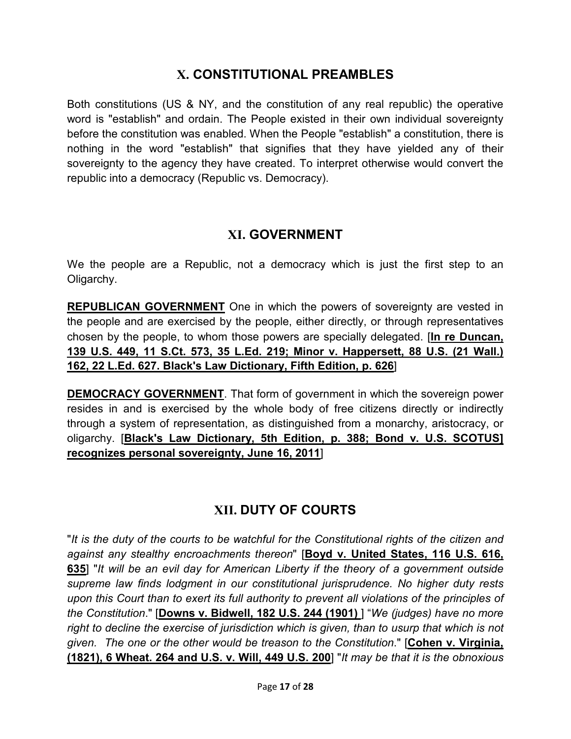#### **X. CONSTITUTIONAL PREAMBLES**

Both constitutions (US & NY, and the constitution of any real republic) the operative word is "establish" and ordain. The People existed in their own individual sovereignty before the constitution was enabled. When the People "establish" a constitution, there is nothing in the word "establish" that signifies that they have yielded any of their sovereignty to the agency they have created. To interpret otherwise would convert the republic into a democracy (Republic vs. Democracy).

#### **XI. GOVERNMENT**

We the people are a Republic, not a democracy which is just the first step to an Oligarchy.

**REPUBLICAN GOVERNMENT** One in which the powers of sovereignty are vested in the people and are exercised by the people, either directly, or through representatives chosen by the people, to whom those powers are specially delegated. [**In re Duncan, 139 U.S. 449, 11 S.Ct. 573, 35 L.Ed. 219; Minor v. Happersett, 88 U.S. (21 Wall.) 162, 22 L.Ed. 627. Black's Law Dictionary, Fifth Edition, p. 626**]

**DEMOCRACY GOVERNMENT**. That form of government in which the sovereign power resides in and is exercised by the whole body of free citizens directly or indirectly through a system of representation, as distinguished from a monarchy, aristocracy, or oligarchy. [**Black's Law Dictionary, 5th Edition, p. 388; Bond v. U.S. SCOTUS] recognizes personal sovereignty, June 16, 2011**]

## **XII. DUTY OF COURTS**

"*It is the duty of the courts to be watchful for the Constitutional rights of the citizen and against any stealthy encroachments thereon*" [**Boyd v. United States, 116 U.S. 616, 635**] "*It will be an evil day for American Liberty if the theory of a government outside supreme law finds lodgment in our constitutional jurisprudence. No higher duty rests upon this Court than to exert its full authority to prevent all violations of the principles of the Constitution*." [**Downs v. Bidwell, 182 U.S. 244 (1901)** ] "*We (judges) have no more*  right to decline the exercise of jurisdiction which is given, than to usurp that which is not *given. The one or the other would be treason to the Constitution*." [**Cohen v. Virginia, (1821), 6 Wheat. 264 and U.S. v. Will, 449 U.S. 200**] "*It may be that it is the obnoxious*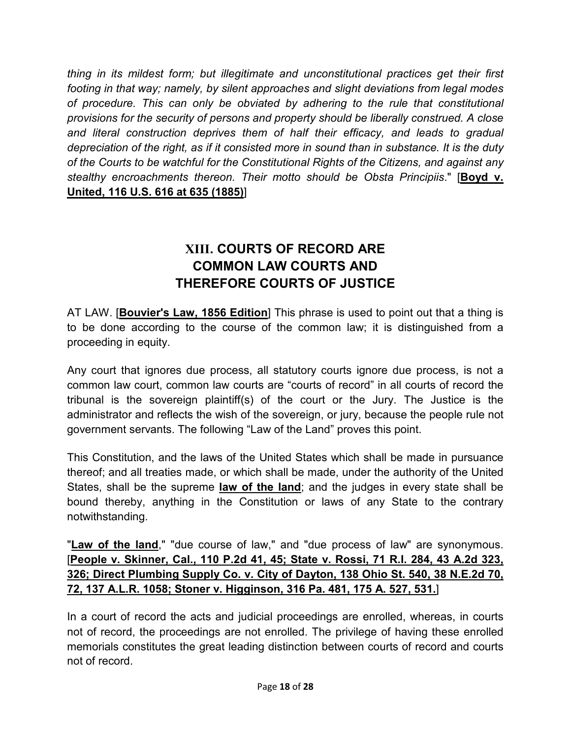*thing in its mildest form; but illegitimate and unconstitutional practices get their first footing in that way; namely, by silent approaches and slight deviations from legal modes of procedure. This can only be obviated by adhering to the rule that constitutional provisions for the security of persons and property should be liberally construed. A close and literal construction deprives them of half their efficacy, and leads to gradual depreciation of the right, as if it consisted more in sound than in substance. It is the duty of the Courts to be watchful for the Constitutional Rights of the Citizens, and against any stealthy encroachments thereon. Their motto should be Obsta Principiis*." [**Boyd v. United, 116 U.S. 616 at 635 (1885)**]

## **XIII. COURTS OF RECORD ARE COMMON LAW COURTS AND THEREFORE COURTS OF JUSTICE**

AT LAW. [**Bouvier's Law, 1856 Edition**] This phrase is used to point out that a thing is to be done according to the course of the common law; it is distinguished from a proceeding in equity.

Any court that ignores due process, all statutory courts ignore due process, is not a common law court, common law courts are "courts of record" in all courts of record the tribunal is the sovereign plaintiff(s) of the court or the Jury. The Justice is the administrator and reflects the wish of the sovereign, or jury, because the people rule not government servants. The following "Law of the Land" proves this point.

This Constitution, and the laws of the United States which shall be made in pursuance thereof; and all treaties made, or which shall be made, under the authority of the United States, shall be the supreme **law of the land**; and the judges in every state shall be bound thereby, anything in the Constitution or laws of any State to the contrary notwithstanding.

"Law of the land," "due course of law," and "due process of law" are synonymous. [**People v. Skinner, Cal., 110 P.2d 41, 45; State v. Rossi, 71 R.I. 284, 43 A.2d 323, 326; Direct Plumbing Supply Co. v. City of Dayton, 138 Ohio St. 540, 38 N.E.2d 70, 72, 137 A.L.R. 1058; Stoner v. Higginson, 316 Pa. 481, 175 A. 527, 531.**]

In a court of record the acts and judicial proceedings are enrolled, whereas, in courts not of record, the proceedings are not enrolled. The privilege of having these enrolled memorials constitutes the great leading distinction between courts of record and courts not of record.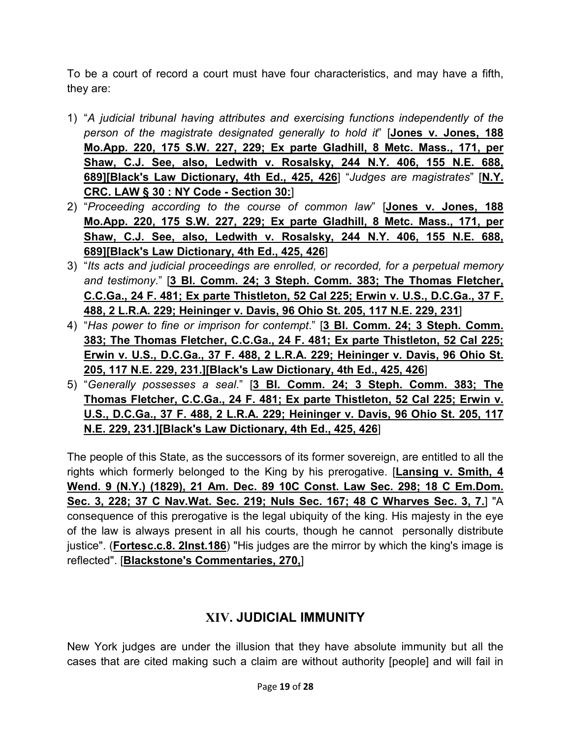To be a court of record a court must have four characteristics, and may have a fifth, they are:

- 1) "*A judicial tribunal having attributes and exercising functions independently of the person of the magistrate designated generally to hold it*" [**Jones v. Jones, 188 Mo.App. 220, 175 S.W. 227, 229; Ex parte Gladhill, 8 Metc. Mass., 171, per Shaw, C.J. See, also, Ledwith v. Rosalsky, 244 N.Y. 406, 155 N.E. 688, 689][Black's Law Dictionary, 4th Ed., 425, 426**] "*Judges are magistrates*" [**N.Y. CRC. LAW § 30 : NY Code - Section 30:**]
- 2) "*Proceeding according to the course of common law*" [**Jones v. Jones, 188 Mo.App. 220, 175 S.W. 227, 229; Ex parte Gladhill, 8 Metc. Mass., 171, per Shaw, C.J. See, also, Ledwith v. Rosalsky, 244 N.Y. 406, 155 N.E. 688, 689][Black's Law Dictionary, 4th Ed., 425, 426**]
- 3) "*Its acts and judicial proceedings are enrolled, or recorded, for a perpetual memory and testimony*." [**3 Bl. Comm. 24; 3 Steph. Comm. 383; The Thomas Fletcher, C.C.Ga., 24 F. 481; Ex parte Thistleton, 52 Cal 225; Erwin v. U.S., D.C.Ga., 37 F. 488, 2 L.R.A. 229; Heininger v. Davis, 96 Ohio St. 205, 117 N.E. 229, 231**]
- 4) "*Has power to fine or imprison for contempt*." [**3 Bl. Comm. 24; 3 Steph. Comm. 383; The Thomas Fletcher, C.C.Ga., 24 F. 481; Ex parte Thistleton, 52 Cal 225; Erwin v. U.S., D.C.Ga., 37 F. 488, 2 L.R.A. 229; Heininger v. Davis, 96 Ohio St. 205, 117 N.E. 229, 231.][Black's Law Dictionary, 4th Ed., 425, 426**]
- 5) "*Generally possesses a seal*." [**3 Bl. Comm. 24; 3 Steph. Comm. 383; The Thomas Fletcher, C.C.Ga., 24 F. 481; Ex parte Thistleton, 52 Cal 225; Erwin v. U.S., D.C.Ga., 37 F. 488, 2 L.R.A. 229; Heininger v. Davis, 96 Ohio St. 205, 117 N.E. 229, 231.][Black's Law Dictionary, 4th Ed., 425, 426**]

The people of this State, as the successors of its former sovereign, are entitled to all the rights which formerly belonged to the King by his prerogative. [**Lansing v. Smith, 4 Wend. 9 (N.Y.) (1829), 21 Am. Dec. 89 10C Const. Law Sec. 298; 18 C Em.Dom. Sec. 3, 228; 37 C Nav.Wat. Sec. 219; Nuls Sec. 167; 48 C Wharves Sec. 3, 7.**] "A consequence of this prerogative is the legal ubiquity of the king. His majesty in the eye of the law is always present in all his courts, though he cannot personally distribute justice". (**Fortesc.c.8. 2Inst.186**) "His judges are the mirror by which the king's image is reflected". [**Blackstone's Commentaries, 270,**]

## **XIV. JUDICIAL IMMUNITY**

New York judges are under the illusion that they have absolute immunity but all the cases that are cited making such a claim are without authority [people] and will fail in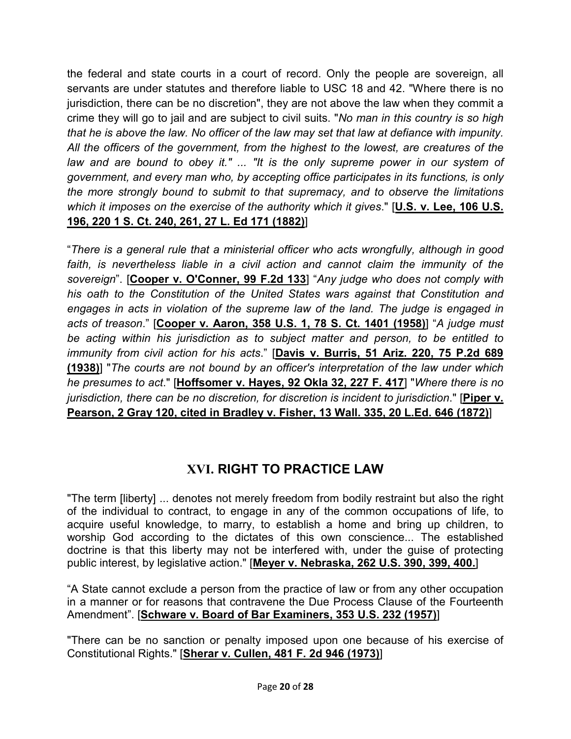the federal and state courts in a court of record. Only the people are sovereign, all servants are under statutes and therefore liable to USC 18 and 42. "Where there is no jurisdiction, there can be no discretion", they are not above the law when they commit a crime they will go to jail and are subject to civil suits. "*No man in this country is so high that he is above the law. No officer of the law may set that law at defiance with impunity. All the officers of the government, from the highest to the lowest, are creatures of the*  law and are bound to obey it." ... "It is the only supreme power in our system of *government, and every man who, by accepting office participates in its functions, is only the more strongly bound to submit to that supremacy, and to observe the limitations which it imposes on the exercise of the authority which it gives*." [**U.S. v. Lee, 106 U.S. 196, 220 1 S. Ct. 240, 261, 27 L. Ed 171 (1882)**]

"*There is a general rule that a ministerial officer who acts wrongfully, although in good*  faith, is nevertheless liable in a civil action and cannot claim the immunity of the *sovereign*". [**Cooper v. O'Conner, 99 F.2d 133**] "*Any judge who does not comply with his oath to the Constitution of the United States wars against that Constitution and engages in acts in violation of the supreme law of the land. The judge is engaged in acts of treason*." [**Cooper v. Aaron, 358 U.S. 1, 78 S. Ct. 1401 (1958)**] "*A judge must be acting within his jurisdiction as to subject matter and person, to be entitled to immunity from civil action for his acts*." [**Davis v. Burris, 51 Ariz. 220, 75 P.2d 689 (1938)**] "*The courts are not bound by an officer's interpretation of the law under which he presumes to act*." [**Hoffsomer v. Hayes, 92 Okla 32, 227 F. 417**] "*Where there is no jurisdiction, there can be no discretion, for discretion is incident to jurisdiction*." [**Piper v. Pearson, 2 Gray 120, cited in Bradley v. Fisher, 13 Wall. 335, 20 L.Ed. 646 (1872)**]

## **XVI. RIGHT TO PRACTICE LAW**

"The term [liberty] ... denotes not merely freedom from bodily restraint but also the right of the individual to contract, to engage in any of the common occupations of life, to acquire useful knowledge, to marry, to establish a home and bring up children, to worship God according to the dictates of this own conscience... The established doctrine is that this liberty may not be interfered with, under the guise of protecting public interest, by legislative action." [**Meyer v. Nebraska, 262 U.S. 390, 399, 400.**]

"A State cannot exclude a person from the practice of law or from any other occupation in a manner or for reasons that contravene the Due Process Clause of the Fourteenth Amendment". [**Schware v. Board of Bar Examiners, 353 U.S. 232 (1957)**]

"There can be no sanction or penalty imposed upon one because of his exercise of Constitutional Rights." [**Sherar v. Cullen, 481 F. 2d 946 (1973)**]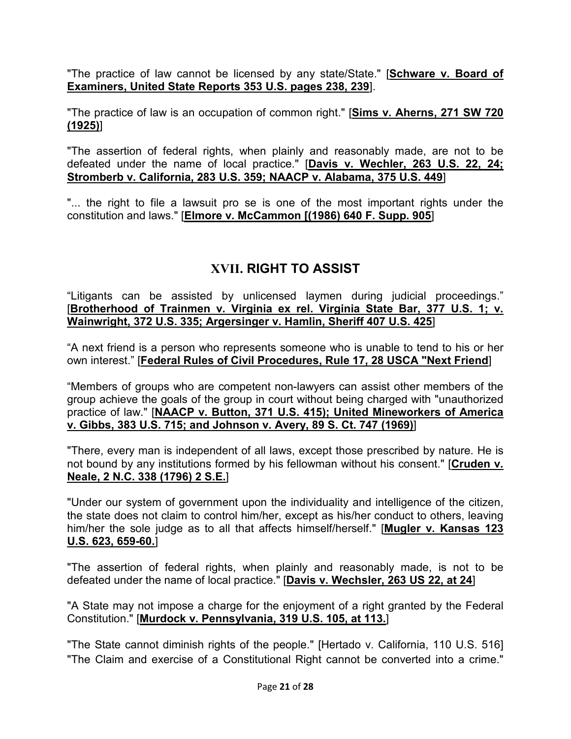"The practice of law cannot be licensed by any state/State." [**Schware v. Board of Examiners, United State Reports 353 U.S. pages 238, 239**].

"The practice of law is an occupation of common right." [**Sims v. Aherns, 271 SW 720 (1925)**]

"The assertion of federal rights, when plainly and reasonably made, are not to be defeated under the name of local practice." [**Davis v. Wechler, 263 U.S. 22, 24; Stromberb v. California, 283 U.S. 359; NAACP v. Alabama, 375 U.S. 449**]

"... the right to file a lawsuit pro se is one of the most important rights under the constitution and laws." [**Elmore v. McCammon [(1986) 640 F. Supp. 905**]

#### **XVII. RIGHT TO ASSIST**

"Litigants can be assisted by unlicensed laymen during judicial proceedings." [**Brotherhood of Trainmen v. Virginia ex rel. Virginia State Bar, 377 U.S. 1; v. Wainwright, 372 U.S. 335; Argersinger v. Hamlin, Sheriff 407 U.S. 425**]

"A next friend is a person who represents someone who is unable to tend to his or her own interest." [**Federal Rules of Civil Procedures, Rule 17, 28 USCA "Next Friend**]

"Members of groups who are competent non-lawyers can assist other members of the group achieve the goals of the group in court without being charged with "unauthorized practice of law." [**NAACP v. Button, 371 U.S. 415); United Mineworkers of America v. Gibbs, 383 U.S. 715; and Johnson v. Avery, 89 S. Ct. 747 (1969)**]

"There, every man is independent of all laws, except those prescribed by nature. He is not bound by any institutions formed by his fellowman without his consent." [**Cruden v. Neale, 2 N.C. 338 (1796) 2 S.E.**]

"Under our system of government upon the individuality and intelligence of the citizen, the state does not claim to control him/her, except as his/her conduct to others, leaving him/her the sole judge as to all that affects himself/herself." [**Mugler v. Kansas 123 U.S. 623, 659-60.**]

"The assertion of federal rights, when plainly and reasonably made, is not to be defeated under the name of local practice." [**Davis v. Wechsler, 263 US 22, at 24**]

"A State may not impose a charge for the enjoyment of a right granted by the Federal Constitution." [**Murdock v. Pennsylvania, 319 U.S. 105, at 113.**]

"The State cannot diminish rights of the people." [Hertado v. California, 110 U.S. 516] "The Claim and exercise of a Constitutional Right cannot be converted into a crime."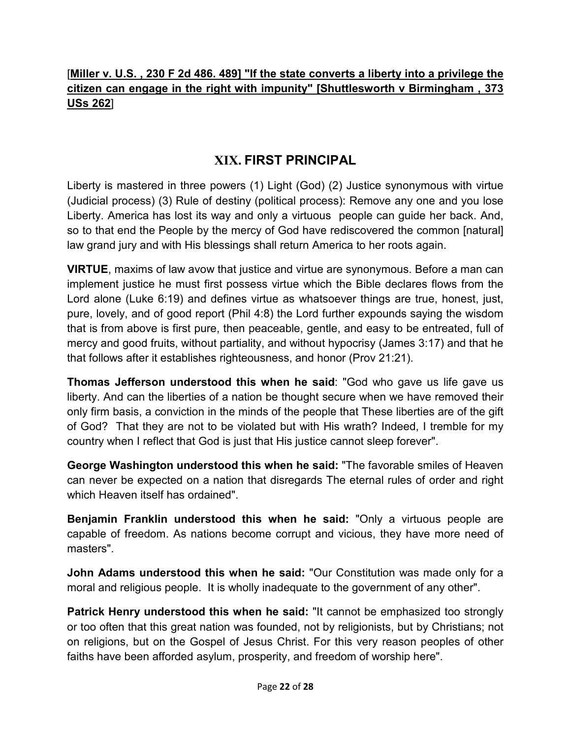#### [**Miller v. U.S. , 230 F 2d 486. 489] "If the state converts a liberty into a privilege the citizen can engage in the right with impunity" [Shuttlesworth v Birmingham , 373 USs 262**]

#### **XIX. FIRST PRINCIPAL**

Liberty is mastered in three powers (1) Light (God) (2) Justice synonymous with virtue (Judicial process) (3) Rule of destiny (political process): Remove any one and you lose Liberty. America has lost its way and only a virtuous people can guide her back. And, so to that end the People by the mercy of God have rediscovered the common [natural] law grand jury and with His blessings shall return America to her roots again.

**VIRTUE**, maxims of law avow that justice and virtue are synonymous. Before a man can implement justice he must first possess virtue which the Bible declares flows from the Lord alone (Luke 6:19) and defines virtue as whatsoever things are true, honest, just, pure, lovely, and of good report (Phil 4:8) the Lord further expounds saying the wisdom that is from above is first pure, then peaceable, gentle, and easy to be entreated, full of mercy and good fruits, without partiality, and without hypocrisy (James 3:17) and that he that follows after it establishes righteousness, and honor (Prov 21:21).

**Thomas Jefferson understood this when he said**: "God who gave us life gave us liberty. And can the liberties of a nation be thought secure when we have removed their only firm basis, a conviction in the minds of the people that These liberties are of the gift of God? That they are not to be violated but with His wrath? Indeed, I tremble for my country when I reflect that God is just that His justice cannot sleep forever".

**George Washington understood this when he said:** "The favorable smiles of Heaven can never be expected on a nation that disregards The eternal rules of order and right which Heaven itself has ordained".

**Benjamin Franklin understood this when he said:** "Only a virtuous people are capable of freedom. As nations become corrupt and vicious, they have more need of masters".

**John Adams understood this when he said:** "Our Constitution was made only for a moral and religious people. It is wholly inadequate to the government of any other".

**Patrick Henry understood this when he said:** "It cannot be emphasized too strongly or too often that this great nation was founded, not by religionists, but by Christians; not on religions, but on the Gospel of Jesus Christ. For this very reason peoples of other faiths have been afforded asylum, prosperity, and freedom of worship here".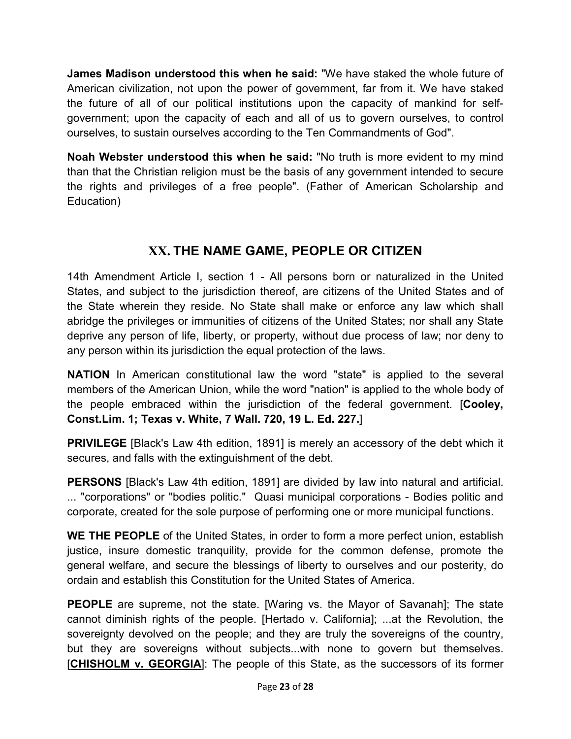**James Madison understood this when he said:** "We have staked the whole future of American civilization, not upon the power of government, far from it. We have staked the future of all of our political institutions upon the capacity of mankind for selfgovernment; upon the capacity of each and all of us to govern ourselves, to control ourselves, to sustain ourselves according to the Ten Commandments of God".

**Noah Webster understood this when he said:** "No truth is more evident to my mind than that the Christian religion must be the basis of any government intended to secure the rights and privileges of a free people". (Father of American Scholarship and Education)

## **XX. THE NAME GAME, PEOPLE OR CITIZEN**

14th Amendment Article I, section 1 - All persons born or naturalized in the United States, and subject to the jurisdiction thereof, are citizens of the United States and of the State wherein they reside. No State shall make or enforce any law which shall abridge the privileges or immunities of citizens of the United States; nor shall any State deprive any person of life, liberty, or property, without due process of law; nor deny to any person within its jurisdiction the equal protection of the laws.

**NATION** In American constitutional law the word "state" is applied to the several members of the American Union, while the word "nation" is applied to the whole body of the people embraced within the jurisdiction of the federal government. [**Cooley, Const.Lim. 1; Texas v. White, 7 Wall. 720, 19 L. Ed. 227.**]

**PRIVILEGE** [Black's Law 4th edition, 1891] is merely an accessory of the debt which it secures, and falls with the extinguishment of the debt.

**PERSONS** [Black's Law 4th edition, 1891] are divided by Iaw into natural and artificial. ... "corporations" or "bodies politic." Quasi municipal corporations - Bodies politic and corporate, created for the sole purpose of performing one or more municipal functions.

**WE THE PEOPLE** of the United States, in order to form a more perfect union, establish justice, insure domestic tranquility, provide for the common defense, promote the general welfare, and secure the blessings of liberty to ourselves and our posterity, do ordain and establish this Constitution for the United States of America.

**PEOPLE** are supreme, not the state. [Waring vs. the Mayor of Savanah]; The state cannot diminish rights of the people. [Hertado v. California]; ...at the Revolution, the sovereignty devolved on the people; and they are truly the sovereigns of the country, but they are sovereigns without subjects...with none to govern but themselves. [**CHISHOLM v. GEORGIA**]: The people of this State, as the successors of its former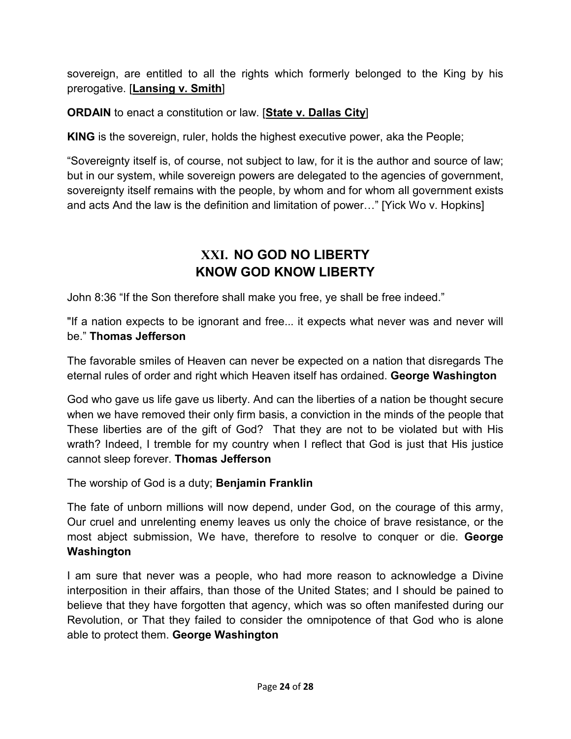sovereign, are entitled to all the rights which formerly belonged to the King by his prerogative. [**Lansing v. Smith**]

**ORDAIN** to enact a constitution or law. [**State v. Dallas City**]

**KING** is the sovereign, ruler, holds the highest executive power, aka the People;

"Sovereignty itself is, of course, not subject to law, for it is the author and source of law; but in our system, while sovereign powers are delegated to the agencies of government, sovereignty itself remains with the people, by whom and for whom all government exists and acts And the law is the definition and limitation of power..." [Yick Wo v. Hopkins]

## **XXI. NO GOD NO LIBERTY KNOW GOD KNOW LIBERTY**

John 8:36 "If the Son therefore shall make you free, ye shall be free indeed."

"If a nation expects to be ignorant and free... it expects what never was and never will be." **Thomas Jefferson**

The favorable smiles of Heaven can never be expected on a nation that disregards The eternal rules of order and right which Heaven itself has ordained. **George Washington**

God who gave us life gave us liberty. And can the liberties of a nation be thought secure when we have removed their only firm basis, a conviction in the minds of the people that These liberties are of the gift of God? That they are not to be violated but with His wrath? Indeed, I tremble for my country when I reflect that God is just that His justice cannot sleep forever. **Thomas Jefferson**

The worship of God is a duty; **Benjamin Franklin**

The fate of unborn millions will now depend, under God, on the courage of this army, Our cruel and unrelenting enemy leaves us only the choice of brave resistance, or the most abject submission, We have, therefore to resolve to conquer or die. **George Washington**

I am sure that never was a people, who had more reason to acknowledge a Divine interposition in their affairs, than those of the United States; and I should be pained to believe that they have forgotten that agency, which was so often manifested during our Revolution, or That they failed to consider the omnipotence of that God who is alone able to protect them. **George Washington**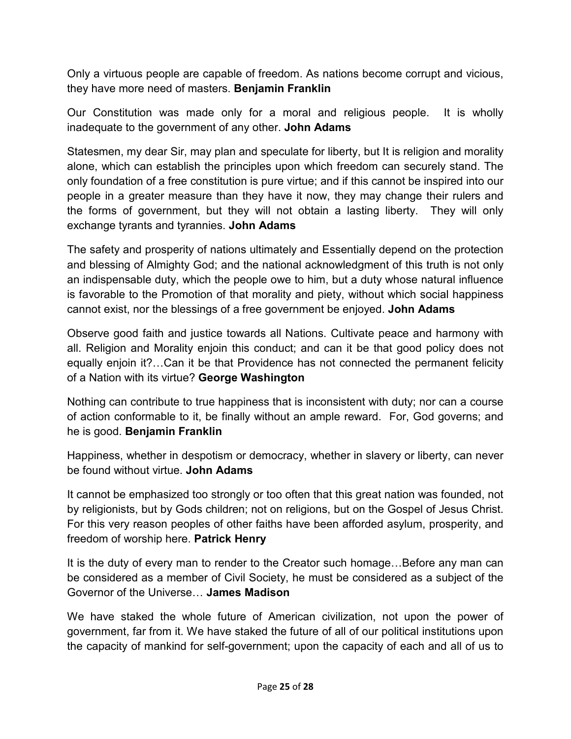Only a virtuous people are capable of freedom. As nations become corrupt and vicious, they have more need of masters. **Benjamin Franklin**

Our Constitution was made only for a moral and religious people. It is wholly inadequate to the government of any other. **John Adams**

Statesmen, my dear Sir, may plan and speculate for liberty, but It is religion and morality alone, which can establish the principles upon which freedom can securely stand. The only foundation of a free constitution is pure virtue; and if this cannot be inspired into our people in a greater measure than they have it now, they may change their rulers and the forms of government, but they will not obtain a lasting liberty. They will only exchange tyrants and tyrannies. **John Adams**

The safety and prosperity of nations ultimately and Essentially depend on the protection and blessing of Almighty God; and the national acknowledgment of this truth is not only an indispensable duty, which the people owe to him, but a duty whose natural influence is favorable to the Promotion of that morality and piety, without which social happiness cannot exist, nor the blessings of a free government be enjoyed. **John Adams**

Observe good faith and justice towards all Nations. Cultivate peace and harmony with all. Religion and Morality enjoin this conduct; and can it be that good policy does not equally enjoin it?...Can it be that Providence has not connected the permanent felicity of a Nation with its virtue? **George Washington** 

Nothing can contribute to true happiness that is inconsistent with duty; nor can a course of action conformable to it, be finally without an ample reward. For, God governs; and he is good. **Benjamin Franklin**

Happiness, whether in despotism or democracy, whether in slavery or liberty, can never be found without virtue. **John Adams**

It cannot be emphasized too strongly or too often that this great nation was founded, not by religionists, but by Gods children; not on religions, but on the Gospel of Jesus Christ. For this very reason peoples of other faiths have been afforded asylum, prosperity, and freedom of worship here. **Patrick Henry**

It is the duty of every man to render to the Creator such homage...Before any man can be considered as a member of Civil Society, he must be considered as a subject of the Governor of the Universe... James Madison

We have staked the whole future of American civilization, not upon the power of government, far from it. We have staked the future of all of our political institutions upon the capacity of mankind for self-government; upon the capacity of each and all of us to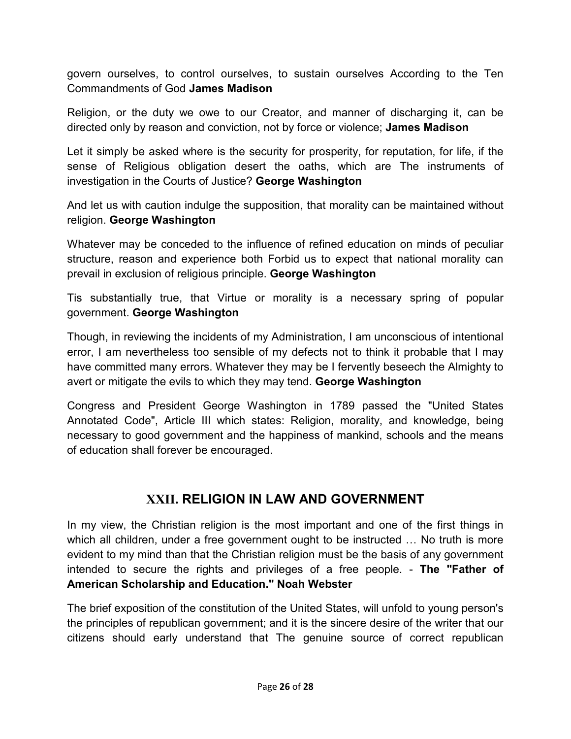govern ourselves, to control ourselves, to sustain ourselves According to the Ten Commandments of God **James Madison**

Religion, or the duty we owe to our Creator, and manner of discharging it, can be directed only by reason and conviction, not by force or violence; **James Madison**

Let it simply be asked where is the security for prosperity, for reputation, for life, if the sense of Religious obligation desert the oaths, which are The instruments of investigation in the Courts of Justice? **George Washington**

And let us with caution indulge the supposition, that morality can be maintained without religion. **George Washington**

Whatever may be conceded to the influence of refined education on minds of peculiar structure, reason and experience both Forbid us to expect that national morality can prevail in exclusion of religious principle. **George Washington** 

Tis substantially true, that Virtue or morality is a necessary spring of popular government. **George Washington**

Though, in reviewing the incidents of my Administration, I am unconscious of intentional error, I am nevertheless too sensible of my defects not to think it probable that I may have committed many errors. Whatever they may be I fervently beseech the Almighty to avert or mitigate the evils to which they may tend. **George Washington**

Congress and President George Washington in 1789 passed the "United States Annotated Code", Article III which states: Religion, morality, and knowledge, being necessary to good government and the happiness of mankind, schools and the means of education shall forever be encouraged.

## **XXII. RELIGION IN LAW AND GOVERNMENT**

In my view, the Christian religion is the most important and one of the first things in which all children, under a free government ought to be instructed  $\ldots$  No truth is more evident to my mind than that the Christian religion must be the basis of any government intended to secure the rights and privileges of a free people. - **The "Father of American Scholarship and Education." Noah Webster**

The brief exposition of the constitution of the United States, will unfold to young person's the principles of republican government; and it is the sincere desire of the writer that our citizens should early understand that The genuine source of correct republican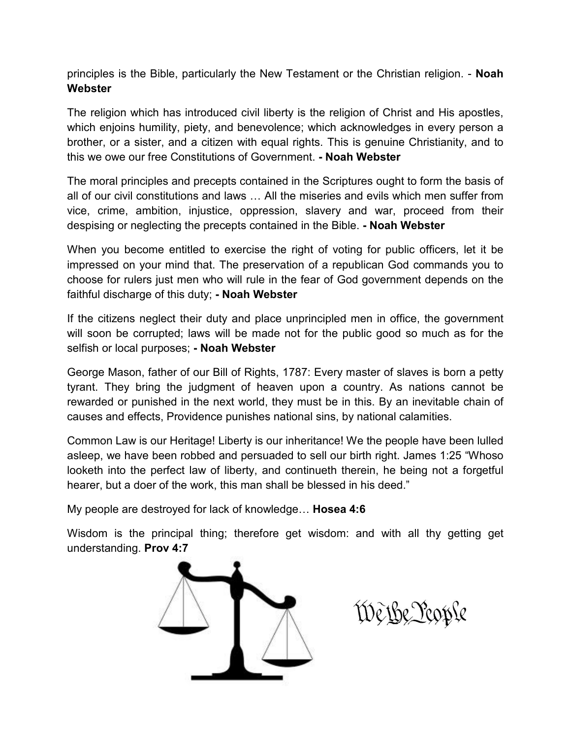principles is the Bible, particularly the New Testament or the Christian religion. - **Noah Webster** 

The religion which has introduced civil liberty is the religion of Christ and His apostles, which enjoins humility, piety, and benevolence; which acknowledges in every person a brother, or a sister, and a citizen with equal rights. This is genuine Christianity, and to this we owe our free Constitutions of Government. **- Noah Webster** 

The moral principles and precepts contained in the Scriptures ought to form the basis of all of our civil constitutions and laws ... All the miseries and evils which men suffer from vice, crime, ambition, injustice, oppression, slavery and war, proceed from their despising or neglecting the precepts contained in the Bible. **- Noah Webster** 

When you become entitled to exercise the right of voting for public officers, let it be impressed on your mind that. The preservation of a republican God commands you to choose for rulers just men who will rule in the fear of God government depends on the faithful discharge of this duty; **- Noah Webster**

If the citizens neglect their duty and place unprincipled men in office, the government will soon be corrupted; laws will be made not for the public good so much as for the selfish or local purposes; **- Noah Webster** 

George Mason, father of our Bill of Rights, 1787: Every master of slaves is born a petty tyrant. They bring the judgment of heaven upon a country. As nations cannot be rewarded or punished in the next world, they must be in this. By an inevitable chain of causes and effects, Providence punishes national sins, by national calamities.

Common Law is our Heritage! Liberty is our inheritance! We the people have been lulled asleep, we have been robbed and persuaded to sell our birth right. James 1:25 "Whoso looketh into the perfect law of liberty, and continueth therein, he being not a forgetful hearer, but a doer of the work, this man shall be blessed in his deed."

My people are destroyed for lack of knowledge... **Hosea 4:6** 

Wisdom is the principal thing; therefore get wisdom: and with all thy getting get understanding. **Prov 4:7** 



Wê <u>Be Teop</u>le